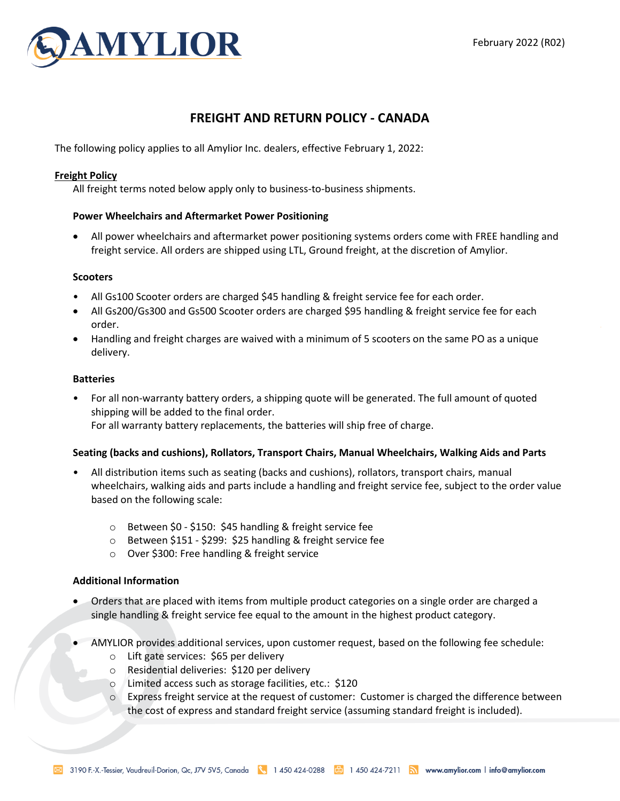

# **FREIGHT AND RETURN POLICY - CANADA**

The following policy applies to all Amylior Inc. dealers, effective February 1, 2022:

# **Freight Policy**

All freight terms noted below apply only to business-to-business shipments.

## **Power Wheelchairs and Aftermarket Power Positioning**

• All power wheelchairs and aftermarket power positioning systems orders come with FREE handling and freight service. All orders are shipped using LTL, Ground freight, at the discretion of Amylior.

#### **Scooters**

- All Gs100 Scooter orders are charged \$45 handling & freight service fee for each order.
- All Gs200/Gs300 and Gs500 Scooter orders are charged \$95 handling & freight service fee for each order.
- Handling and freight charges are waived with a minimum of 5 scooters on the same PO as a unique delivery.

## **Batteries**

• For all non-warranty battery orders, a shipping quote will be generated. The full amount of quoted shipping will be added to the final order. For all warranty battery replacements, the batteries will ship free of charge.

#### **Seating (backs and cushions), Rollators, Transport Chairs, Manual Wheelchairs, Walking Aids and Parts**

- All distribution items such as seating (backs and cushions), rollators, transport chairs, manual wheelchairs, walking aids and parts include a handling and freight service fee, subject to the order value based on the following scale:
	- o Between \$0 \$150: \$45 handling & freight service fee
	- o Between \$151 \$299: \$25 handling & freight service fee
	- o Over \$300: Free handling & freight service

#### **Additional Information**

- Orders that are placed with items from multiple product categories on a single order are charged a single handling & freight service fee equal to the amount in the highest product category.
- AMYLIOR provides additional services, upon customer request, based on the following fee schedule:
	- o Lift gate services: \$65 per delivery
	- o Residential deliveries: \$120 per delivery
	- o Limited access such as storage facilities, etc.: \$120
	- o Express freight service at the request of customer: Customer is charged the difference between the cost of express and standard freight service (assuming standard freight is included).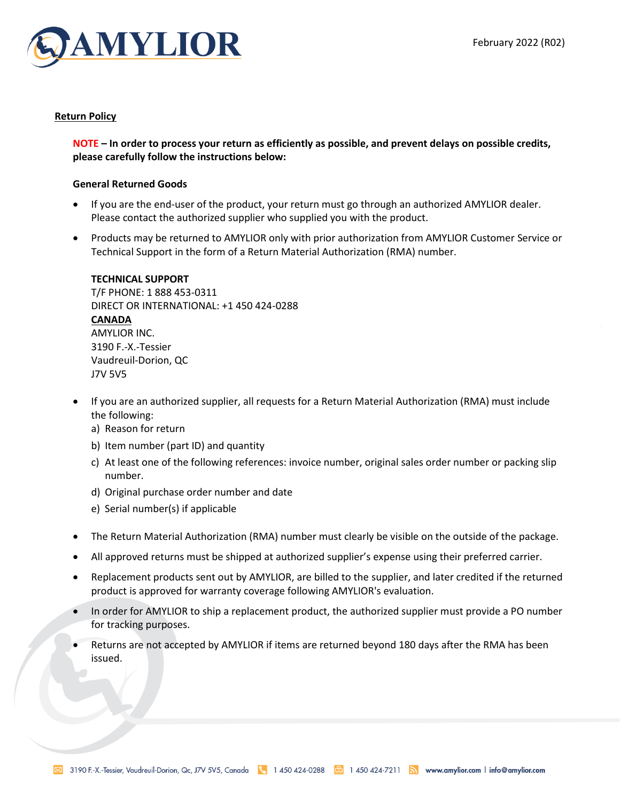

# **Return Policy**

**NOTE – In order to process your return as efficiently as possible, and prevent delays on possible credits, please carefully follow the instructions below:**

## **General Returned Goods**

- If you are the end-user of the product, your return must go through an authorized AMYLIOR dealer. Please contact the authorized supplier who supplied you with the product.
- Products may be returned to AMYLIOR only with prior authorization from AMYLIOR Customer Service or Technical Support in the form of a Return Material Authorization (RMA) number.

#### **TECHNICAL SUPPORT**

T/F PHONE: 1 888 453-0311 DIRECT OR INTERNATIONAL: +1 450 424-0288 **CANADA**  AMYLIOR INC. 3190 F.-X.-Tessier Vaudreuil-Dorion, QC J7V 5V5

- If you are an authorized supplier, all requests for a Return Material Authorization (RMA) must include the following:
	- a) Reason for return
	- b) Item number (part ID) and quantity
	- c) At least one of the following references: invoice number, original sales order number or packing slip number.
	- d) Original purchase order number and date
	- e) Serial number(s) if applicable
- The Return Material Authorization (RMA) number must clearly be visible on the outside of the package.
- All approved returns must be shipped at authorized supplier's expense using their preferred carrier.
- Replacement products sent out by AMYLIOR, are billed to the supplier, and later credited if the returned product is approved for warranty coverage following AMYLIOR's evaluation.
- In order for AMYLIOR to ship a replacement product, the authorized supplier must provide a PO number for tracking purposes.
- Returns are not accepted by AMYLIOR if items are returned beyond 180 days after the RMA has been issued.